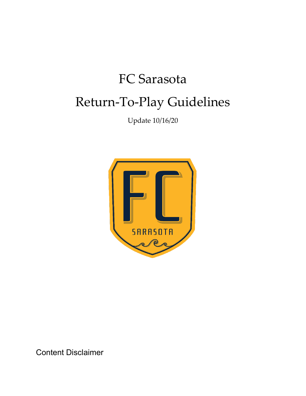## FC Sarasota Return-To-Play Guidelines

Update 10/16/20



Content Disclaimer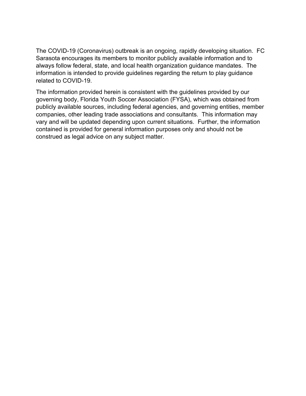The COVID-19 (Coronavirus) outbreak is an ongoing, rapidly developing situation. FC Sarasota encourages its members to monitor publicly available information and to always follow federal, state, and local health organization guidance mandates. The information is intended to provide guidelines regarding the return to play guidance related to COVID-19.

The information provided herein is consistent with the guidelines provided by our governing body, Florida Youth Soccer Association (FYSA), which was obtained from publicly available sources, including federal agencies, and governing entities, member companies, other leading trade associations and consultants. This information may vary and will be updated depending upon current situations. Further, the information contained is provided for general information purposes only and should not be construed as legal advice on any subject matter.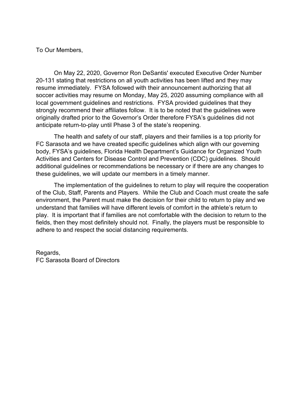To Our Members,

On May 22, 2020, Governor Ron DeSantis' executed Executive Order Number 20-131 stating that restrictions on all youth activities has been lifted and they may resume immediately. FYSA followed with their announcement authorizing that all soccer activities may resume on Monday, May 25, 2020 assuming compliance with all local government guidelines and restrictions. FYSA provided guidelines that they strongly recommend their affiliates follow. It is to be noted that the guidelines were originally drafted prior to the Governor's Order therefore FYSA's guidelines did not anticipate return-to-play until Phase 3 of the state's reopening.

The health and safety of our staff, players and their families is a top priority for FC Sarasota and we have created specific guidelines which align with our governing body, FYSA's guidelines, Florida Health Department's Guidance for Organized Youth Activities and Centers for Disease Control and Prevention (CDC) guidelines. Should additional guidelines or recommendations be necessary or if there are any changes to these guidelines, we will update our members in a timely manner.

The implementation of the guidelines to return to play will require the cooperation of the Club, Staff, Parents and Players. While the Club and Coach must create the safe environment, the Parent must make the decision for their child to return to play and we understand that families will have different levels of comfort in the athlete's return to play. It is important that if families are not comfortable with the decision to return to the fields, then they most definitely should not. Finally, the players must be responsible to adhere to and respect the social distancing requirements.

Regards, FC Sarasota Board of Directors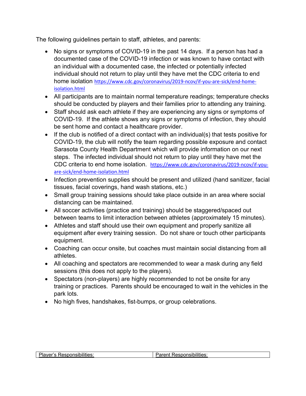The following guidelines pertain to staff, athletes, and parents:

- No signs or symptoms of COVID-19 in the past 14 days. If a person has had a documented case of the COVID-19 infection or was known to have contact with an individual with a documented case, the infected or potentially infected individual should not return to play until they have met the CDC criteria to end home isolation [https://www.cdc.gov/coronavirus/2019-ncov/if-you-are-sick/end-home](https://www.cdc.gov/coronavirus/2019-ncov/if-you-are-sick/end-home-isolation.html)[isolation.html](https://www.cdc.gov/coronavirus/2019-ncov/if-you-are-sick/end-home-isolation.html)
- All participants are to maintain normal temperature readings; temperature checks should be conducted by players and their families prior to attending any training.
- Staff should ask each athlete if they are experiencing any signs or symptoms of COVID-19. If the athlete shows any signs or symptoms of infection, they should be sent home and contact a healthcare provider.
- If the club is notified of a direct contact with an individual(s) that tests positive for COVID-19, the club will notify the team regarding possible exposure and contact Sarasota County Health Department which will provide information on our next steps. The infected individual should not return to play until they have met the CDC criteria to end home isolation. [https://www.cdc.gov/coronavirus/2019-ncov/if-you](https://www.cdc.gov/coronavirus/2019-ncov/if-you-are-sick/end-home-isolation.html)[are-sick/end-home-isolation.html](https://www.cdc.gov/coronavirus/2019-ncov/if-you-are-sick/end-home-isolation.html)
- Infection prevention supplies should be present and utilized (hand sanitizer, facial tissues, facial coverings, hand wash stations, etc.)
- Small group training sessions should take place outside in an area where social distancing can be maintained.
- All soccer activities (practice and training) should be staggered/spaced out between teams to limit interaction between athletes (approximately 15 minutes).
- Athletes and staff should use their own equipment and properly sanitize all equipment after every training session. Do not share or touch other participants equipment.
- Coaching can occur onsite, but coaches must maintain social distancing from all athletes.
- All coaching and spectators are recommended to wear a mask during any field sessions (this does not apply to the players).
- Spectators (non-players) are highly recommended to not be onsite for any training or practices. Parents should be encouraged to wait in the vehicles in the park lots.
- No high fives, handshakes, fist-bumps, or group celebrations.

|--|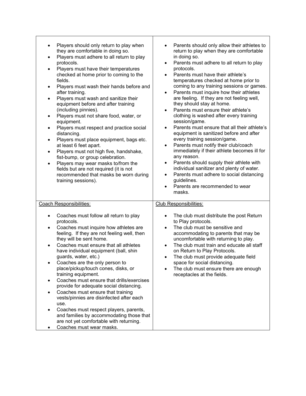| Players should only return to play when<br>they are comfortable in doing so.<br>Players must adhere to all return to play<br>$\bullet$<br>protocols.<br>Players must have their temperatures<br>$\bullet$<br>checked at home prior to coming to the<br>fields.<br>Players must wash their hands before and<br>٠<br>after training.<br>Players must wash and sanitize their<br>$\bullet$<br>equipment before and after training<br>(including pinnies).<br>Players must not share food, water, or<br>equipment.<br>Players must respect and practice social<br>distancing.<br>Players must place equipment, bags etc.<br>at least 6 feet apart.<br>Players must not high five, handshake,<br>$\bullet$<br>fist-bump, or group celebration.<br>Players may wear masks to/from the<br>$\bullet$<br>fields but are not required (it is not<br>recommended that masks be worn during<br>training sessions). | Parents should only allow their athletes to<br>return to play when they are comfortable<br>in doing so.<br>Parents must adhere to all return to play<br>$\bullet$<br>protocols.<br>Parents must have their athlete's<br>temperatures checked at home prior to<br>coming to any training sessions or games.<br>Parents must inquire how their athletes<br>are feeling. If they are not feeling well,<br>they should stay at home.<br>Parents must ensure their athlete's<br>clothing is washed after every training<br>session/game.<br>Parents must ensure that all their athlete's<br>$\bullet$<br>equipment is sanitized before and after<br>every training session/game.<br>Parents must notify their club/coach<br>$\bullet$<br>immediately if their athlete becomes ill for<br>any reason.<br>Parents should supply their athlete with<br>$\bullet$<br>individual sanitizer and plenty of water.<br>Parents must adhere to social distancing<br>$\bullet$<br>guidelines.<br>Parents are recommended to wear<br>$\bullet$<br>masks. |
|--------------------------------------------------------------------------------------------------------------------------------------------------------------------------------------------------------------------------------------------------------------------------------------------------------------------------------------------------------------------------------------------------------------------------------------------------------------------------------------------------------------------------------------------------------------------------------------------------------------------------------------------------------------------------------------------------------------------------------------------------------------------------------------------------------------------------------------------------------------------------------------------------------|-----------------------------------------------------------------------------------------------------------------------------------------------------------------------------------------------------------------------------------------------------------------------------------------------------------------------------------------------------------------------------------------------------------------------------------------------------------------------------------------------------------------------------------------------------------------------------------------------------------------------------------------------------------------------------------------------------------------------------------------------------------------------------------------------------------------------------------------------------------------------------------------------------------------------------------------------------------------------------------------------------------------------------------------|
| <b>Coach Responsibilities:</b><br>Coaches must follow all return to play<br>$\bullet$<br>protocols.<br>Coaches must inquire how athletes are<br>$\bullet$<br>feeling. If they are not feeling well, then<br>they will be sent home.<br>Coaches must ensure that all athletes<br>$\bullet$<br>have individual equipment (ball, shin<br>guards, water, etc.)<br>Coaches are the only person to<br>place/pickup/touch cones, disks, or<br>training equipment.<br>Coaches must ensure that drills/exercises<br>provide for adequate social distancing.<br>Coaches must ensure that training<br>$\bullet$<br>vests/pinnies are disinfected after each<br>use.<br>Coaches must respect players, parents,<br>and families by accommodating those that<br>are not yet comfortable with returning.<br>Coaches must wear masks.                                                                                  | <b>Club Responsibilities:</b><br>The club must distribute the post Return<br>$\bullet$<br>to Play protocols.<br>The club must be sensitive and<br>accommodating to parents that may be<br>uncomfortable with returning to play.<br>The club must train and educate all staff<br>$\bullet$<br>on Return to Play Protocols.<br>The club must provide adequate field<br>space for social distancing.<br>The club must ensure there are enough<br>receptacles at the fields.                                                                                                                                                                                                                                                                                                                                                                                                                                                                                                                                                                |